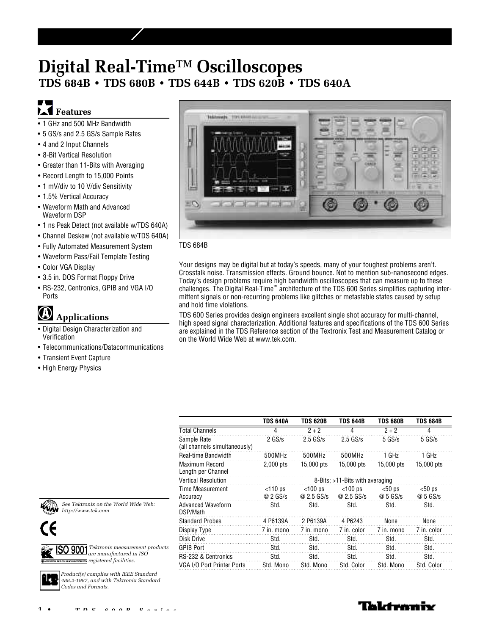# **Digital Real-Time™ Oscilloscopes TDS 684B • TDS 680B • TDS 644B • TDS 620B • TDS 640A**

# $\blacksquare$ **L**<br /> **Features**

- 1 GHz and 500 MHz Bandwidth
- 5 GS/s and 2.5 GS/s Sample Rates
- 4 and 2 Input Channels
- 8-Bit Vertical Resolution
- Greater than 11-Bits with Averaging
- Record Length to 15,000 Points
- 1 mV/div to 10 V/div Sensitivity
- 1.5% Vertical Accuracy
- Waveform Math and Advanced Waveform DSP
- 1 ns Peak Detect (not available w/TDS 640A)
- Channel Deskew (not available w/TDS 640A)
- Fully Automated Measurement System
- Waveform Pass/Fail Template Testing
- Color VGA Display
- 3.5 in. DOS Format Floppy Drive
- RS-232, Centronics, GPIB and VGA I/O Ports

# $\bigcircledR$ **Applications**

- Digital Design Characterization and Verification
- Telecommunications/Datacommunications
- Transient Event Capture
- High Energy Physics



#### TDS 684B

Your designs may be digital but at today's speeds, many of your toughest problems aren't. Crosstalk noise. Transmission effects. Ground bounce. Not to mention sub-nanosecond edges. Today's design problems require high bandwidth oscilloscopes that can measure up to these challenges. The Digital Real-Time™ architecture of the TDS 600 Series simplifies capturing intermittent signals or non-recurring problems like glitches or metastable states caused by setup and hold time violations.

TDS 600 Series provides design engineers excellent single shot accuracy for multi-channel, high speed signal characterization. Additional features and specifications of the TDS 600 Series are explained in the TDS Reference section of the Textronix Test and Measurement Catalog or on the World Wide Web at www.tek.com.

|                                              | <b>TDS 640A</b>                 | <b>TDS 620B</b>          | <b>TDS 644B</b>          | <b>TDS 680B</b>     | <b>TDS 684B</b>     |  |  |  |
|----------------------------------------------|---------------------------------|--------------------------|--------------------------|---------------------|---------------------|--|--|--|
| Total Channels                               | 4                               | $2 + 2$                  | 4                        | $2 + 2$             | 4                   |  |  |  |
| Sample Rate<br>(all channels simultaneously) | $2$ GS/s                        | $2.5$ GS/s               | $2.5$ GS/s               | $5$ GS/s            | $5$ GS/s            |  |  |  |
| Real-time Bandwidth                          | 500MHz                          | 500MHz                   | 500MHz                   | 1 GHz               | 1 GHz               |  |  |  |
| Maximum Record<br>Length per Channel         | $2,000$ pts                     | 15,000 pts               | 15,000 pts               | 15,000 pts          | 15,000 pts          |  |  |  |
| <b>Vertical Resolution</b>                   | 8-Bits: >11-Bits with averaging |                          |                          |                     |                     |  |  |  |
| Time Measurement<br>Accuracy                 | $<$ 110 ps<br>@ 2 GS/s          | $<$ 100 ps<br>@ 2.5 GS/s | $<$ 100 ps<br>@ 2.5 GS/s | $50$ ps<br>@ 5 GS/s | $50$ ps<br>@ 5 GS/s |  |  |  |
| Advanced Waveform<br>DSP/Math                | Std.                            | Std.                     | Std.                     | Std.                | Std.                |  |  |  |
| <b>Standard Probes</b>                       | 4 P6139A                        | 2 P6139A                 | 4 P6243                  | None                | None                |  |  |  |
| Display Type                                 | 7 in. mono                      | 7 in. mono               | 7 in. color              | 7 in. mono          | 7 in. color         |  |  |  |
| Disk Drive                                   | Std.                            | Std.                     | Std.                     | Std.                | Std.                |  |  |  |
| <b>GPIB Port</b>                             | Std.                            | Std.                     | Std.                     | Std.                | Std.                |  |  |  |
| RS-232 & Centronics                          | Std.                            | Std.                     | Std.                     | Std.                | Std.                |  |  |  |
| VGA I/O Port Printer Ports                   | Std. Mono                       | Std. Mono                | Std. Color               | Std. Mono           | Std. Color          |  |  |  |



*See Tektronix on the World Wide Web: http://www.tek.com*



*Tektronix measurement products are manufactured in ISO registered facilities.*



*Product(s) complies with IEEE Standard 488.2-1987, and with Tektronix Standard Codes and Formats.*